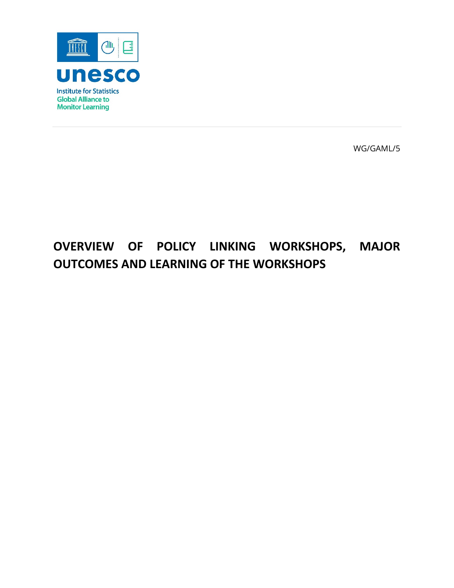

WG/GAML/5

## **OVERVIEW OF POLICY LINKING WORKSHOPS, MAJOR OUTCOMES AND LEARNING OF THE WORKSHOPS**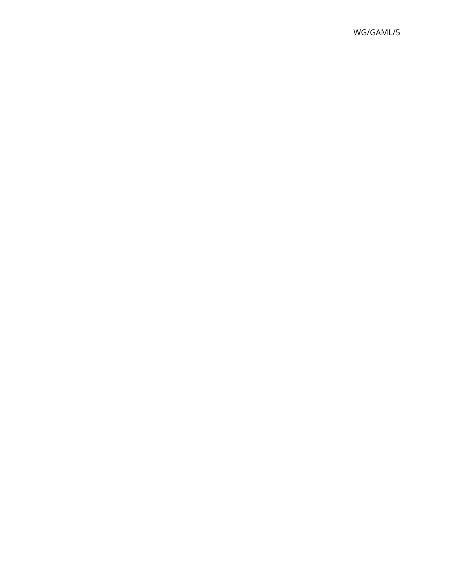## WG/GAML/5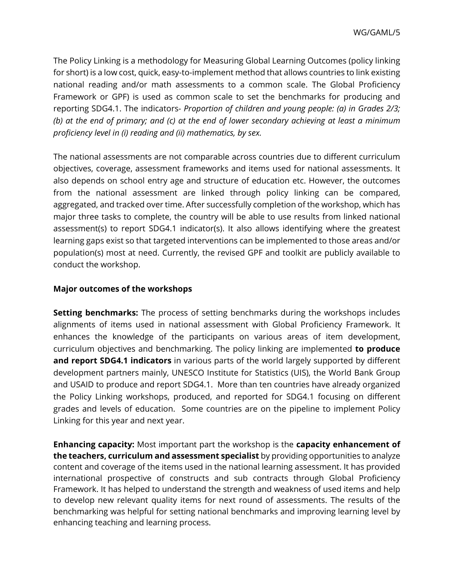The Policy Linking is a methodology for Measuring Global Learning Outcomes (policy linking for short) is a low cost, quick, easy-to-implement method that allows countries to link existing national reading and/or math assessments to a common scale. The Global Proficiency Framework or GPF) is used as common scale to set the benchmarks for producing and reporting SDG4.1. The indicators- *Proportion of children and young people: (a) in Grades 2/3; (b) at the end of primary; and (c) at the end of lower secondary achieving at least a minimum proficiency level in (i) reading and (ii) mathematics, by sex.*

The national assessments are not comparable across countries due to different curriculum objectives, coverage, assessment frameworks and items used for national assessments. It also depends on school entry age and structure of education etc. However, the outcomes from the national assessment are linked through policy linking can be compared, aggregated, and tracked over time. After successfully completion of the workshop, which has major three tasks to complete, the country will be able to use results from linked national assessment(s) to report SDG4.1 indicator(s). It also allows identifying where the greatest learning gaps exist so that targeted interventions can be implemented to those areas and/or population(s) most at need. Currently, the revised GPF and toolkit are publicly available to conduct the workshop.

## **Major outcomes of the workshops**

**Setting benchmarks:** The process of setting benchmarks during the workshops includes alignments of items used in national assessment with Global Proficiency Framework. It enhances the knowledge of the participants on various areas of item development, curriculum objectives and benchmarking. The policy linking are implemented **to produce and report SDG4.1 indicators** in various parts of the world largely supported by different development partners mainly, UNESCO Institute for Statistics (UIS), the World Bank Group and USAID to produce and report SDG4.1. More than ten countries have already organized the Policy Linking workshops, produced, and reported for SDG4.1 focusing on different grades and levels of education. Some countries are on the pipeline to implement Policy Linking for this year and next year.

**Enhancing capacity:** Most important part the workshop is the **capacity enhancement of the teachers, curriculum and assessment specialist** by providing opportunities to analyze content and coverage of the items used in the national learning assessment. It has provided international prospective of constructs and sub contracts through Global Proficiency Framework. It has helped to understand the strength and weakness of used items and help to develop new relevant quality items for next round of assessments. The results of the benchmarking was helpful for setting national benchmarks and improving learning level by enhancing teaching and learning process.